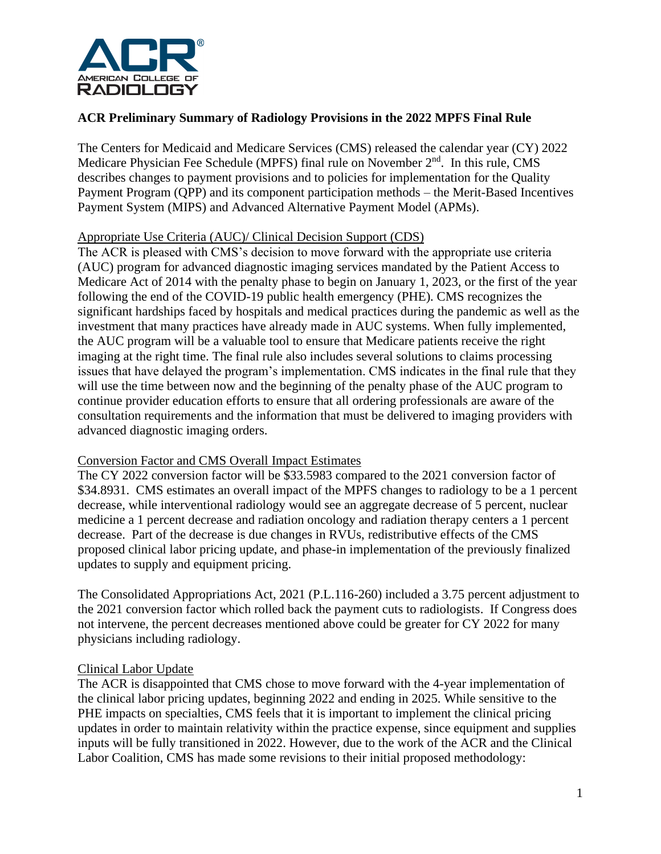

# **ACR Preliminary Summary of Radiology Provisions in the 2022 MPFS Final Rule**

The Centers for Medicaid and Medicare Services (CMS) released the calendar year (CY) 2022 Medicare Physician Fee Schedule (MPFS) final rule on November 2<sup>nd</sup>. In this rule, CMS describes changes to payment provisions and to policies for implementation for the Quality Payment Program (QPP) and its component participation methods – the Merit-Based Incentives Payment System (MIPS) and Advanced Alternative Payment Model (APMs).

# Appropriate Use Criteria (AUC)/ Clinical Decision Support (CDS)

The ACR is pleased with CMS's decision to move forward with the appropriate use criteria (AUC) program for advanced diagnostic imaging services mandated by the Patient Access to Medicare Act of 2014 with the penalty phase to begin on January 1, 2023, or the first of the year following the end of the COVID-19 public health emergency (PHE). CMS recognizes the significant hardships faced by hospitals and medical practices during the pandemic as well as the investment that many practices have already made in AUC systems. When fully implemented, the AUC program will be a valuable tool to ensure that Medicare patients receive the right imaging at the right time. The final rule also includes several solutions to claims processing issues that have delayed the program's implementation. CMS indicates in the final rule that they will use the time between now and the beginning of the penalty phase of the AUC program to continue provider education efforts to ensure that all ordering professionals are aware of the consultation requirements and the information that must be delivered to imaging providers with advanced diagnostic imaging orders.

# Conversion Factor and CMS Overall Impact Estimates

The CY 2022 conversion factor will be \$33.5983 compared to the 2021 conversion factor of \$34.8931. CMS estimates an overall impact of the MPFS changes to radiology to be a 1 percent decrease, while interventional radiology would see an aggregate decrease of 5 percent, nuclear medicine a 1 percent decrease and radiation oncology and radiation therapy centers a 1 percent decrease. Part of the decrease is due changes in RVUs, redistributive effects of the CMS proposed clinical labor pricing update, and phase-in implementation of the previously finalized updates to supply and equipment pricing.

The Consolidated Appropriations Act, 2021 (P.L.116-260) included a 3.75 percent adjustment to the 2021 conversion factor which rolled back the payment cuts to radiologists. If Congress does not intervene, the percent decreases mentioned above could be greater for CY 2022 for many physicians including radiology.

#### Clinical Labor Update

The ACR is disappointed that CMS chose to move forward with the 4-year implementation of the clinical labor pricing updates, beginning 2022 and ending in 2025. While sensitive to the PHE impacts on specialties, CMS feels that it is important to implement the clinical pricing updates in order to maintain relativity within the practice expense, since equipment and supplies inputs will be fully transitioned in 2022. However, due to the work of the ACR and the Clinical Labor Coalition, CMS has made some revisions to their initial proposed methodology: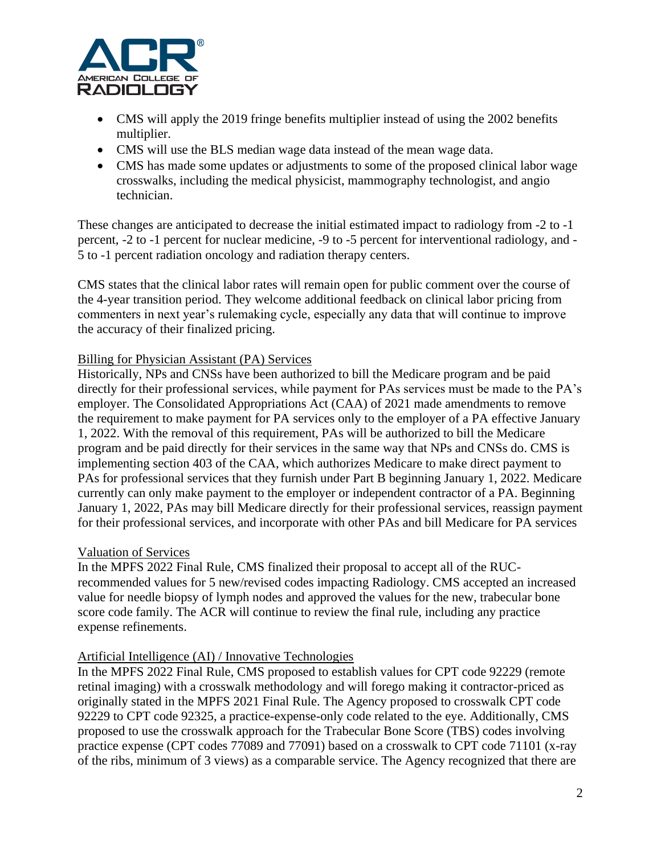

- CMS will apply the 2019 fringe benefits multiplier instead of using the 2002 benefits multiplier.
- CMS will use the BLS median wage data instead of the mean wage data.
- CMS has made some updates or adjustments to some of the proposed clinical labor wage crosswalks, including the medical physicist, mammography technologist, and angio technician.

These changes are anticipated to decrease the initial estimated impact to radiology from -2 to -1 percent, -2 to -1 percent for nuclear medicine, -9 to -5 percent for interventional radiology, and - 5 to -1 percent radiation oncology and radiation therapy centers.

CMS states that the clinical labor rates will remain open for public comment over the course of the 4-year transition period. They welcome additional feedback on clinical labor pricing from commenters in next year's rulemaking cycle, especially any data that will continue to improve the accuracy of their finalized pricing.

# Billing for Physician Assistant (PA) Services

Historically, NPs and CNSs have been authorized to bill the Medicare program and be paid directly for their professional services, while payment for PAs services must be made to the PA's employer. The Consolidated Appropriations Act (CAA) of 2021 made amendments to remove the requirement to make payment for PA services only to the employer of a PA effective January 1, 2022. With the removal of this requirement, PAs will be authorized to bill the Medicare program and be paid directly for their services in the same way that NPs and CNSs do. CMS is implementing section 403 of the CAA, which authorizes Medicare to make direct payment to PAs for professional services that they furnish under Part B beginning January 1, 2022. Medicare currently can only make payment to the employer or independent contractor of a PA. Beginning January 1, 2022, PAs may bill Medicare directly for their professional services, reassign payment for their professional services, and incorporate with other PAs and bill Medicare for PA services

#### Valuation of Services

In the MPFS 2022 Final Rule, CMS finalized their proposal to accept all of the RUCrecommended values for 5 new/revised codes impacting Radiology. CMS accepted an increased value for needle biopsy of lymph nodes and approved the values for the new, trabecular bone score code family. The ACR will continue to review the final rule, including any practice expense refinements.

#### Artificial Intelligence (AI) / Innovative Technologies

In the MPFS 2022 Final Rule, CMS proposed to establish values for CPT code 92229 (remote retinal imaging) with a crosswalk methodology and will forego making it contractor-priced as originally stated in the MPFS 2021 Final Rule. The Agency proposed to crosswalk CPT code 92229 to CPT code 92325, a practice-expense-only code related to the eye. Additionally, CMS proposed to use the crosswalk approach for the Trabecular Bone Score (TBS) codes involving practice expense (CPT codes 77089 and 77091) based on a crosswalk to CPT code 71101 (x-ray of the ribs, minimum of 3 views) as a comparable service. The Agency recognized that there are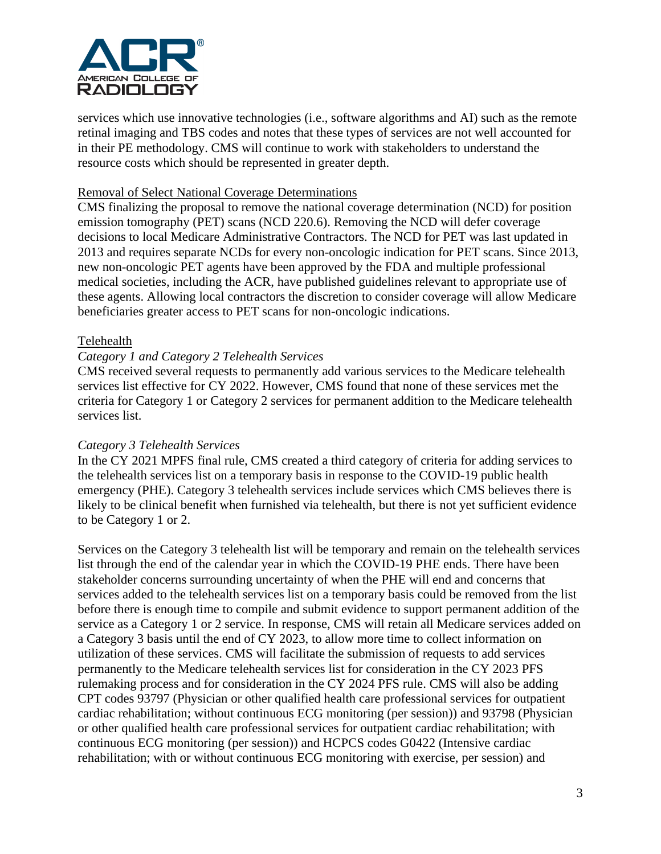

services which use innovative technologies (i.e., software algorithms and AI) such as the remote retinal imaging and TBS codes and notes that these types of services are not well accounted for in their PE methodology. CMS will continue to work with stakeholders to understand the resource costs which should be represented in greater depth.

#### Removal of Select National Coverage Determinations

CMS finalizing the proposal to remove the national coverage determination (NCD) for position emission tomography (PET) scans (NCD 220.6). Removing the NCD will defer coverage decisions to local Medicare Administrative Contractors. The NCD for PET was last updated in 2013 and requires separate NCDs for every non-oncologic indication for PET scans. Since 2013, new non-oncologic PET agents have been approved by the FDA and multiple professional medical societies, including the ACR, have published guidelines relevant to appropriate use of these agents. Allowing local contractors the discretion to consider coverage will allow Medicare beneficiaries greater access to PET scans for non-oncologic indications.

#### Telehealth

#### *Category 1 and Category 2 Telehealth Services*

CMS received several requests to permanently add various services to the Medicare telehealth services list effective for CY 2022. However, CMS found that none of these services met the criteria for Category 1 or Category 2 services for permanent addition to the Medicare telehealth services list.

#### *Category 3 Telehealth Services*

In the CY 2021 MPFS final rule, CMS created a third category of criteria for adding services to the telehealth services list on a temporary basis in response to the COVID-19 public health emergency (PHE). Category 3 telehealth services include services which CMS believes there is likely to be clinical benefit when furnished via telehealth, but there is not yet sufficient evidence to be Category 1 or 2.

Services on the Category 3 telehealth list will be temporary and remain on the telehealth services list through the end of the calendar year in which the COVID-19 PHE ends. There have been stakeholder concerns surrounding uncertainty of when the PHE will end and concerns that services added to the telehealth services list on a temporary basis could be removed from the list before there is enough time to compile and submit evidence to support permanent addition of the service as a Category 1 or 2 service. In response, CMS will retain all Medicare services added on a Category 3 basis until the end of CY 2023, to allow more time to collect information on utilization of these services. CMS will facilitate the submission of requests to add services permanently to the Medicare telehealth services list for consideration in the CY 2023 PFS rulemaking process and for consideration in the CY 2024 PFS rule. CMS will also be adding CPT codes 93797 (Physician or other qualified health care professional services for outpatient cardiac rehabilitation; without continuous ECG monitoring (per session)) and 93798 (Physician or other qualified health care professional services for outpatient cardiac rehabilitation; with continuous ECG monitoring (per session)) and HCPCS codes G0422 (Intensive cardiac rehabilitation; with or without continuous ECG monitoring with exercise, per session) and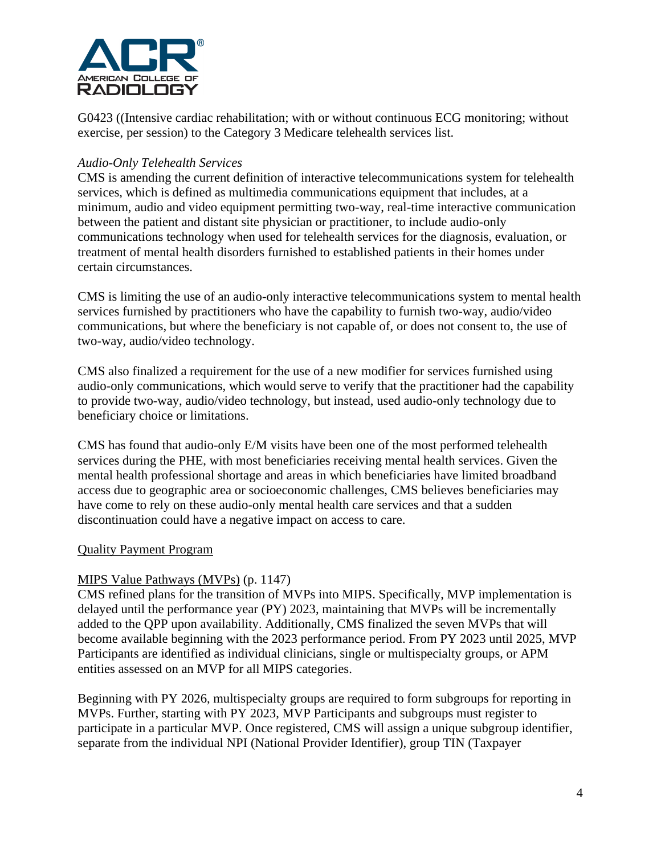

G0423 ((Intensive cardiac rehabilitation; with or without continuous ECG monitoring; without exercise, per session) to the Category 3 Medicare telehealth services list.

### *Audio-Only Telehealth Services*

CMS is amending the current definition of interactive telecommunications system for telehealth services, which is defined as multimedia communications equipment that includes, at a minimum, audio and video equipment permitting two-way, real-time interactive communication between the patient and distant site physician or practitioner, to include audio-only communications technology when used for telehealth services for the diagnosis, evaluation, or treatment of mental health disorders furnished to established patients in their homes under certain circumstances.

CMS is limiting the use of an audio-only interactive telecommunications system to mental health services furnished by practitioners who have the capability to furnish two-way, audio/video communications, but where the beneficiary is not capable of, or does not consent to, the use of two-way, audio/video technology.

CMS also finalized a requirement for the use of a new modifier for services furnished using audio-only communications, which would serve to verify that the practitioner had the capability to provide two-way, audio/video technology, but instead, used audio-only technology due to beneficiary choice or limitations.

CMS has found that audio-only E/M visits have been one of the most performed telehealth services during the PHE, with most beneficiaries receiving mental health services. Given the mental health professional shortage and areas in which beneficiaries have limited broadband access due to geographic area or socioeconomic challenges, CMS believes beneficiaries may have come to rely on these audio-only mental health care services and that a sudden discontinuation could have a negative impact on access to care.

#### Quality Payment Program

# MIPS Value Pathways (MVPs) (p. 1147)

CMS refined plans for the transition of MVPs into MIPS. Specifically, MVP implementation is delayed until the performance year (PY) 2023, maintaining that MVPs will be incrementally added to the QPP upon availability. Additionally, CMS finalized the seven MVPs that will become available beginning with the 2023 performance period. From PY 2023 until 2025, MVP Participants are identified as individual clinicians, single or multispecialty groups, or APM entities assessed on an MVP for all MIPS categories.

Beginning with PY 2026, multispecialty groups are required to form subgroups for reporting in MVPs. Further, starting with PY 2023, MVP Participants and subgroups must register to participate in a particular MVP. Once registered, CMS will assign a unique subgroup identifier, separate from the individual NPI (National Provider Identifier), group TIN (Taxpayer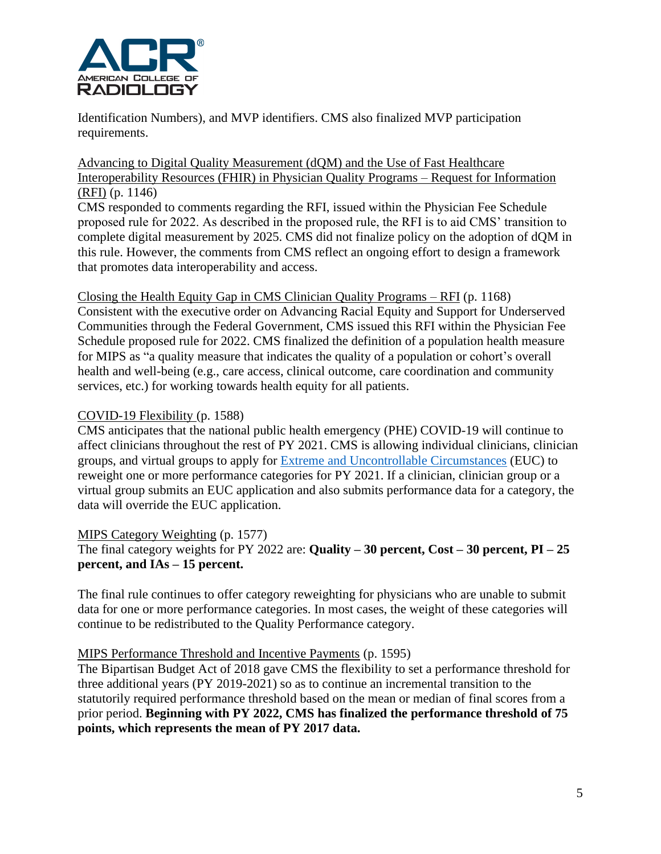

Identification Numbers), and MVP identifiers. CMS also finalized MVP participation requirements.

# Advancing to Digital Quality Measurement (dQM) and the Use of Fast Healthcare Interoperability Resources (FHIR) in Physician Quality Programs – Request for Information (RFI) (p. 1146)

CMS responded to comments regarding the RFI, issued within the Physician Fee Schedule proposed rule for 2022. As described in the proposed rule, the RFI is to aid CMS' transition to complete digital measurement by 2025. CMS did not finalize policy on the adoption of dQM in this rule. However, the comments from CMS reflect an ongoing effort to design a framework that promotes data interoperability and access.

Closing the Health Equity Gap in CMS Clinician Quality Programs – RFI (p. 1168) Consistent with the executive order on Advancing Racial Equity and Support for Underserved Communities through the Federal Government, CMS issued this RFI within the Physician Fee Schedule proposed rule for 2022. CMS finalized the definition of a population health measure for MIPS as "a quality measure that indicates the quality of a population or cohort's overall health and well-being (e.g., care access, clinical outcome, care coordination and community services, etc.) for working towards health equity for all patients.

# COVID-19 Flexibility (p. 1588)

CMS anticipates that the national public health emergency (PHE) COVID-19 will continue to affect clinicians throughout the rest of PY 2021. CMS is allowing individual clinicians, clinician groups, and virtual groups to apply for [Extreme and Uncontrollable Circumstances](https://qpp.cms.gov/resources/covid19?py=2021) (EUC) to reweight one or more performance categories for PY 2021. If a clinician, clinician group or a virtual group submits an EUC application and also submits performance data for a category, the data will override the EUC application.

# MIPS Category Weighting (p. 1577)

# The final category weights for PY 2022 are: **Quality – 30 percent, Cost – 30 percent, PI – 25 percent, and IAs – 15 percent.**

The final rule continues to offer category reweighting for physicians who are unable to submit data for one or more performance categories. In most cases, the weight of these categories will continue to be redistributed to the Quality Performance category.

# MIPS Performance Threshold and Incentive Payments (p. 1595)

The Bipartisan Budget Act of 2018 gave CMS the flexibility to set a performance threshold for three additional years (PY 2019-2021) so as to continue an incremental transition to the statutorily required performance threshold based on the mean or median of final scores from a prior period. **Beginning with PY 2022, CMS has finalized the performance threshold of 75 points, which represents the mean of PY 2017 data.**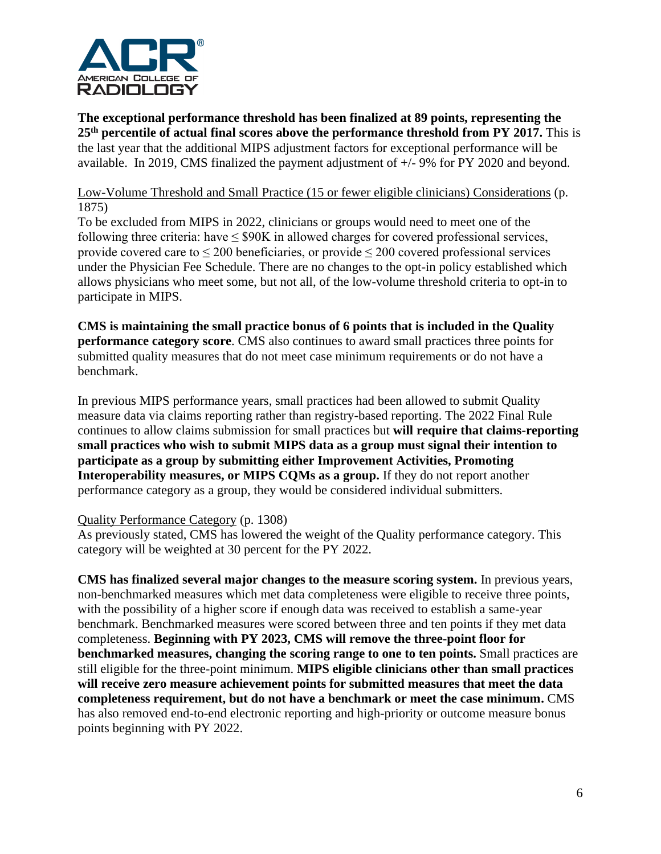

**The exceptional performance threshold has been finalized at 89 points, representing the 25th percentile of actual final scores above the performance threshold from PY 2017.** This is the last year that the additional MIPS adjustment factors for exceptional performance will be available. In 2019, CMS finalized the payment adjustment of +/- 9% for PY 2020 and beyond.

# Low-Volume Threshold and Small Practice (15 or fewer eligible clinicians) Considerations (p. 1875)

To be excluded from MIPS in 2022, clinicians or groups would need to meet one of the following three criteria: have  $\leq$  \$90K in allowed charges for covered professional services, provide covered care to  $\leq 200$  beneficiaries, or provide  $\leq 200$  covered professional services under the Physician Fee Schedule. There are no changes to the opt-in policy established which allows physicians who meet some, but not all, of the low-volume threshold criteria to opt-in to participate in MIPS.

**CMS is maintaining the small practice bonus of 6 points that is included in the Quality performance category score**. CMS also continues to award small practices three points for submitted quality measures that do not meet case minimum requirements or do not have a benchmark.

In previous MIPS performance years, small practices had been allowed to submit Quality measure data via claims reporting rather than registry-based reporting. The 2022 Final Rule continues to allow claims submission for small practices but **will require that claims-reporting small practices who wish to submit MIPS data as a group must signal their intention to participate as a group by submitting either Improvement Activities, Promoting Interoperability measures, or MIPS CQMs as a group.** If they do not report another performance category as a group, they would be considered individual submitters.

# Quality Performance Category (p. 1308)

As previously stated, CMS has lowered the weight of the Quality performance category. This category will be weighted at 30 percent for the PY 2022.

**CMS has finalized several major changes to the measure scoring system.** In previous years, non-benchmarked measures which met data completeness were eligible to receive three points, with the possibility of a higher score if enough data was received to establish a same-year benchmark. Benchmarked measures were scored between three and ten points if they met data completeness. **Beginning with PY 2023, CMS will remove the three-point floor for benchmarked measures, changing the scoring range to one to ten points.** Small practices are still eligible for the three-point minimum. **MIPS eligible clinicians other than small practices will receive zero measure achievement points for submitted measures that meet the data completeness requirement, but do not have a benchmark or meet the case minimum.** CMS has also removed end-to-end electronic reporting and high-priority or outcome measure bonus points beginning with PY 2022.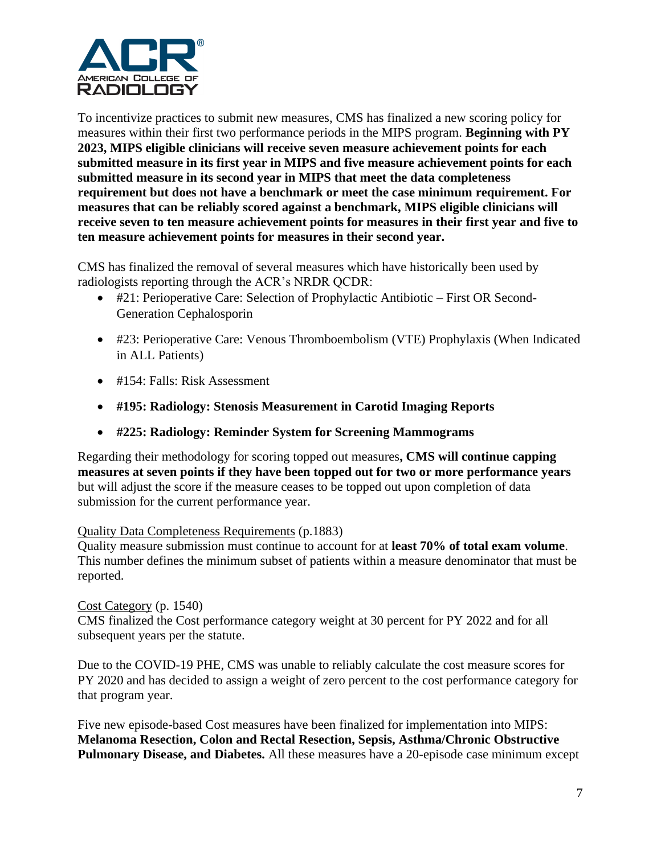

To incentivize practices to submit new measures, CMS has finalized a new scoring policy for measures within their first two performance periods in the MIPS program. **Beginning with PY 2023, MIPS eligible clinicians will receive seven measure achievement points for each submitted measure in its first year in MIPS and five measure achievement points for each submitted measure in its second year in MIPS that meet the data completeness requirement but does not have a benchmark or meet the case minimum requirement. For measures that can be reliably scored against a benchmark, MIPS eligible clinicians will receive seven to ten measure achievement points for measures in their first year and five to ten measure achievement points for measures in their second year.**

CMS has finalized the removal of several measures which have historically been used by radiologists reporting through the ACR's NRDR QCDR:

- #21: Perioperative Care: Selection of Prophylactic Antibiotic First OR Second-Generation Cephalosporin
- #23: Perioperative Care: Venous Thromboembolism (VTE) Prophylaxis (When Indicated in ALL Patients)
- #154: Falls: Risk Assessment
- **#195: Radiology: Stenosis Measurement in Carotid Imaging Reports**
- **#225: Radiology: Reminder System for Screening Mammograms**

Regarding their methodology for scoring topped out measures**, CMS will continue capping measures at seven points if they have been topped out for two or more performance years** but will adjust the score if the measure ceases to be topped out upon completion of data submission for the current performance year.

#### Quality Data Completeness Requirements (p.1883)

Quality measure submission must continue to account for at **least 70% of total exam volume**. This number defines the minimum subset of patients within a measure denominator that must be reported.

#### Cost Category (p. 1540)

CMS finalized the Cost performance category weight at 30 percent for PY 2022 and for all subsequent years per the statute.

Due to the COVID-19 PHE, CMS was unable to reliably calculate the cost measure scores for PY 2020 and has decided to assign a weight of zero percent to the cost performance category for that program year.

Five new episode-based Cost measures have been finalized for implementation into MIPS: **Melanoma Resection, Colon and Rectal Resection, Sepsis, Asthma/Chronic Obstructive Pulmonary Disease, and Diabetes.** All these measures have a 20-episode case minimum except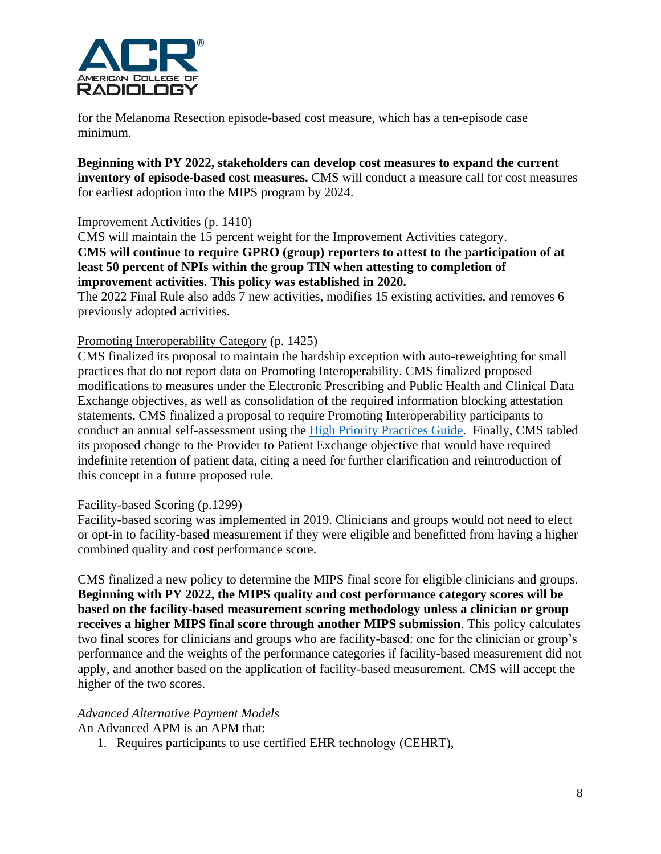

for the Melanoma Resection episode-based cost measure, which has a ten-episode case minimum.

**Beginning with PY 2022, stakeholders can develop cost measures to expand the current inventory of episode-based cost measures.** CMS will conduct a measure call for cost measures for earliest adoption into the MIPS program by 2024.

#### Improvement Activities (p. 1410)

CMS will maintain the 15 percent weight for the Improvement Activities category. **CMS will continue to require GPRO (group) reporters to attest to the participation of at least 50 percent of NPIs within the group TIN when attesting to completion of improvement activities. This policy was established in 2020.**

The 2022 Final Rule also adds 7 new activities, modifies 15 existing activities, and removes 6 previously adopted activities.

### Promoting Interoperability Category (p. 1425)

CMS finalized its proposal to maintain the hardship exception with auto-reweighting for small practices that do not report data on Promoting Interoperability. CMS finalized proposed modifications to measures under the Electronic Prescribing and Public Health and Clinical Data Exchange objectives, as well as consolidation of the required information blocking attestation statements. CMS finalized a proposal to require Promoting Interoperability participants to conduct an annual self-assessment using the [High Priority Practices Guide.](https://www.healthit.gov/topic/safety/safer-guides) Finally, CMS tabled its proposed change to the Provider to Patient Exchange objective that would have required indefinite retention of patient data, citing a need for further clarification and reintroduction of this concept in a future proposed rule.

#### Facility-based Scoring (p.1299)

Facility-based scoring was implemented in 2019. Clinicians and groups would not need to elect or opt-in to facility-based measurement if they were eligible and benefitted from having a higher combined quality and cost performance score.

CMS finalized a new policy to determine the MIPS final score for eligible clinicians and groups. **Beginning with PY 2022, the MIPS quality and cost performance category scores will be based on the facility-based measurement scoring methodology unless a clinician or group receives a higher MIPS final score through another MIPS submission**. This policy calculates two final scores for clinicians and groups who are facility-based: one for the clinician or group's performance and the weights of the performance categories if facility-based measurement did not apply, and another based on the application of facility-based measurement. CMS will accept the higher of the two scores.

# *Advanced Alternative Payment Models*

An Advanced APM is an APM that:

1. Requires participants to use certified EHR technology (CEHRT),